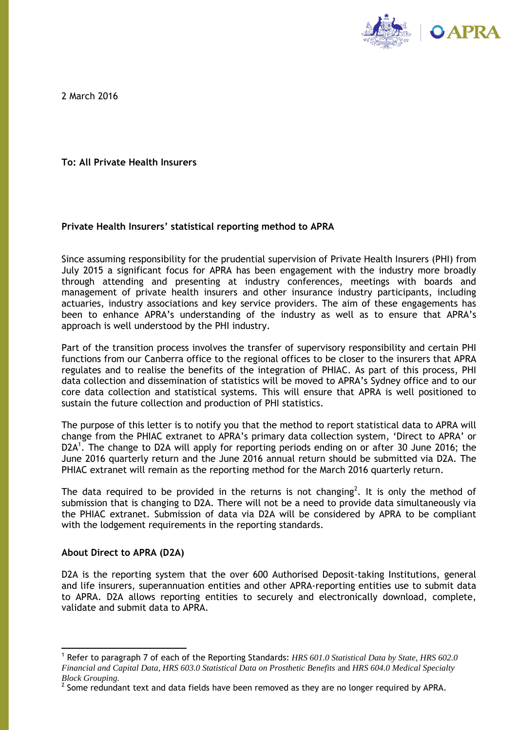

2 March 2016

**To: All Private Health Insurers**

# **Private Health Insurers' statistical reporting method to APRA**

Since assuming responsibility for the prudential supervision of Private Health Insurers (PHI) from July 2015 a significant focus for APRA has been engagement with the industry more broadly through attending and presenting at industry conferences, meetings with boards and management of private health insurers and other insurance industry participants, including actuaries, industry associations and key service providers. The aim of these engagements has been to enhance APRA's understanding of the industry as well as to ensure that APRA's approach is well understood by the PHI industry.

Part of the transition process involves the transfer of supervisory responsibility and certain PHI functions from our Canberra office to the regional offices to be closer to the insurers that APRA regulates and to realise the benefits of the integration of PHIAC. As part of this process, PHI data collection and dissemination of statistics will be moved to APRA's Sydney office and to our core data collection and statistical systems. This will ensure that APRA is well positioned to sustain the future collection and production of PHI statistics.

The purpose of this letter is to notify you that the method to report statistical data to APRA will change from the PHIAC extranet to APRA's primary data collection system, 'Direct to APRA' or D2A<sup>1</sup>. The change to D2A will apply for reporting periods ending on or after 30 June 2016; the June 2016 quarterly return and the June 2016 annual return should be submitted via D2A. The PHIAC extranet will remain as the reporting method for the March 2016 quarterly return.

The data required to be provided in the returns is not changing<sup>2</sup>. It is only the method of submission that is changing to D2A. There will not be a need to provide data simultaneously via the PHIAC extranet. Submission of data via D2A will be considered by APRA to be compliant with the lodgement requirements in the reporting standards.

# **About Direct to APRA (D2A)**

D2A is the reporting system that the over 600 Authorised Deposit-taking Institutions, general and life insurers, superannuation entities and other APRA-reporting entities use to submit data to APRA. D2A allows reporting entities to securely and electronically download, complete, validate and submit data to APRA.

<sup>1</sup> Refer to paragraph 7 of each of the Reporting Standards: *HRS 601.0 Statistical Data by State, HRS 602.0 Financial and Capital Data, HRS 603.0 Statistical Data on Prosthetic Benefits* and *HRS 604.0 Medical Specialty Block Grouping.*

 $^2$  Some redundant text and data fields have been removed as they are no longer required by APRA.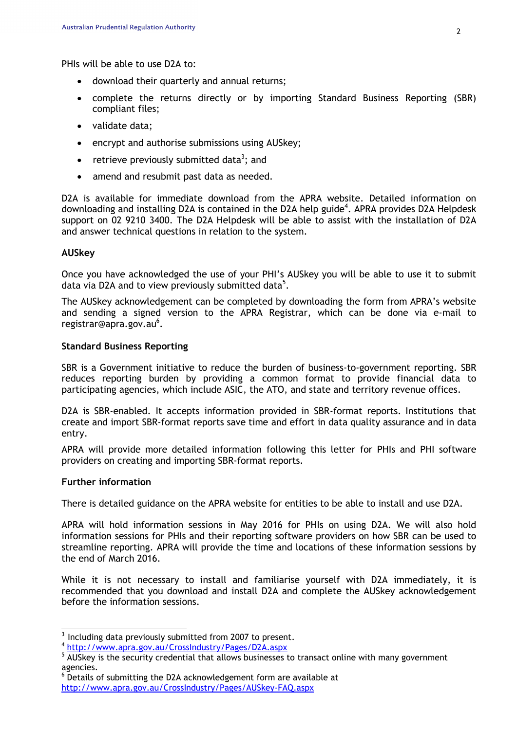PHIs will be able to use D2A to:

- download their quarterly and annual returns;
- complete the returns directly or by importing Standard Business Reporting (SBR) compliant files;
- validate data;
- encrypt and authorise submissions using AUSkey;
- retrieve previously submitted data<sup>3</sup>; and
- amend and resubmit past data as needed.

D2A is available for immediate download from the APRA website. Detailed information on downloading and installing D2A is contained in the D2A help guide<sup>4</sup>. APRA provides D2A Helpdesk support on 02 9210 3400. The D2A Helpdesk will be able to assist with the installation of D2A and answer technical questions in relation to the system.

# **AUSkey**

Once you have acknowledged the use of your PHI's AUSkey you will be able to use it to submit data via D2A and to view previously submitted data<sup>5</sup>.

The AUSkey acknowledgement can be completed by downloading the form from APRA's website and sending a signed version to the APRA Registrar, which can be done via e-mail to [registrar@apra.gov.au](mailto:registrar@apra.gov.au)<sup>6</sup>.

### **Standard Business Reporting**

SBR is a Government initiative to reduce the burden of business-to-government reporting. SBR reduces reporting burden by providing a common format to provide financial data to participating agencies, which include ASIC, the ATO, and state and territory revenue offices.

D2A is SBR-enabled. It accepts information provided in SBR-format reports. Institutions that create and import SBR-format reports save time and effort in data quality assurance and in data entry.

APRA will provide more detailed information following this letter for PHIs and PHI software providers on creating and importing SBR-format reports.

### **Further information**

There is detailed guidance on the APRA website for entities to be able to install and use D2A.

APRA will hold information sessions in May 2016 for PHIs on using D2A. We will also hold information sessions for PHIs and their reporting software providers on how SBR can be used to streamline reporting. APRA will provide the time and locations of these information sessions by the end of March 2016.

While it is not necessary to install and familiarise yourself with D2A immediately, it is recommended that you download and install D2A and complete the AUSkey acknowledgement before the information sessions.

 $3$  Including data previously submitted from 2007 to present.

<sup>4</sup> <http://www.apra.gov.au/CrossIndustry/Pages/D2A.aspx>

 $5\overline{\mathsf{AUS}}$ key is the security credential that allows businesses to transact online with many government agencies.

<sup>&</sup>lt;sup>6</sup> Details of submitting the D2A acknowledgement form are available at <http://www.apra.gov.au/CrossIndustry/Pages/AUSkey-FAQ.aspx>